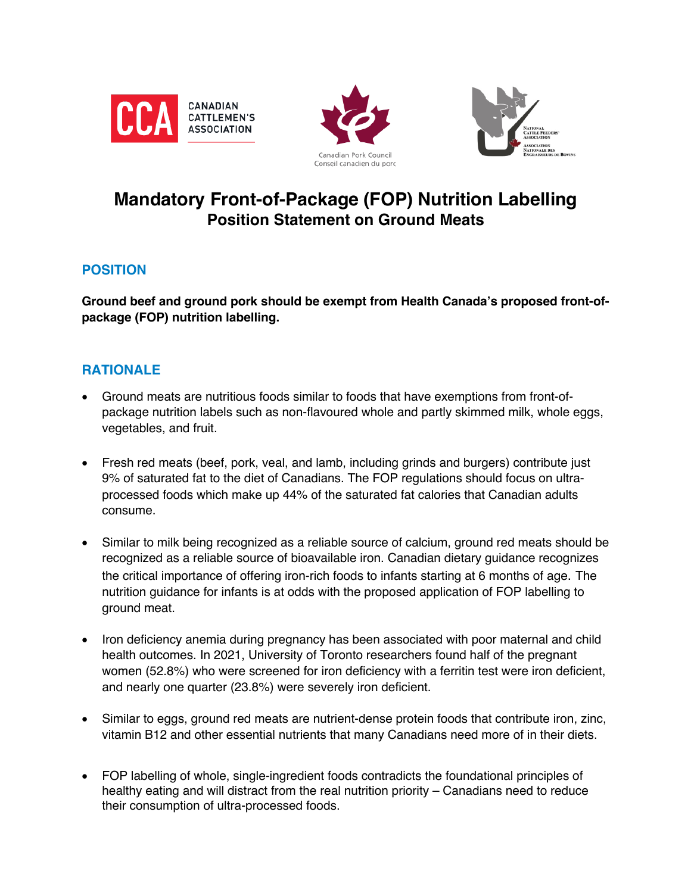





# **Mandatory Front-of-Package (FOP) Nutrition Labelling Position Statement on Ground Meats**

# **POSITION**

**Ground beef and ground pork should be exempt from Health Canada's proposed front-ofpackage (FOP) nutrition labelling.**

# **RATIONALE**

- Ground meats are nutritious foods similar to foods that have exemptions from front-ofpackage nutrition labels such as non-flavoured whole and partly skimmed milk, whole eggs, vegetables, and fruit.
- Fresh red meats (beef, pork, veal, and lamb, including grinds and burgers) contribute just 9% of saturated fat to the diet of Canadians. The FOP regulations should focus on ultraprocessed foods which make up 44% of the saturated fat calories that Canadian adults consume.
- Similar to milk being recognized as a reliable source of calcium, ground red meats should be recognized as a reliable source of bioavailable iron. Canadian dietary guidance recognizes the critical importance of offering iron-rich foods to infants starting at 6 months of age. The nutrition guidance for infants is at odds with the proposed application of FOP labelling to ground meat.
- Iron deficiency anemia during pregnancy has been associated with poor maternal and child health outcomes. In 2021, University of Toronto researchers found half of the pregnant women (52.8%) who were screened for iron deficiency with a ferritin test were iron deficient, and nearly one quarter (23.8%) were severely iron deficient.
- Similar to eggs, ground red meats are nutrient-dense protein foods that contribute iron, zinc, vitamin B12 and other essential nutrients that many Canadians need more of in their diets.
- FOP labelling of whole, single-ingredient foods contradicts the foundational principles of healthy eating and will distract from the real nutrition priority – Canadians need to reduce their consumption of ultra-processed foods.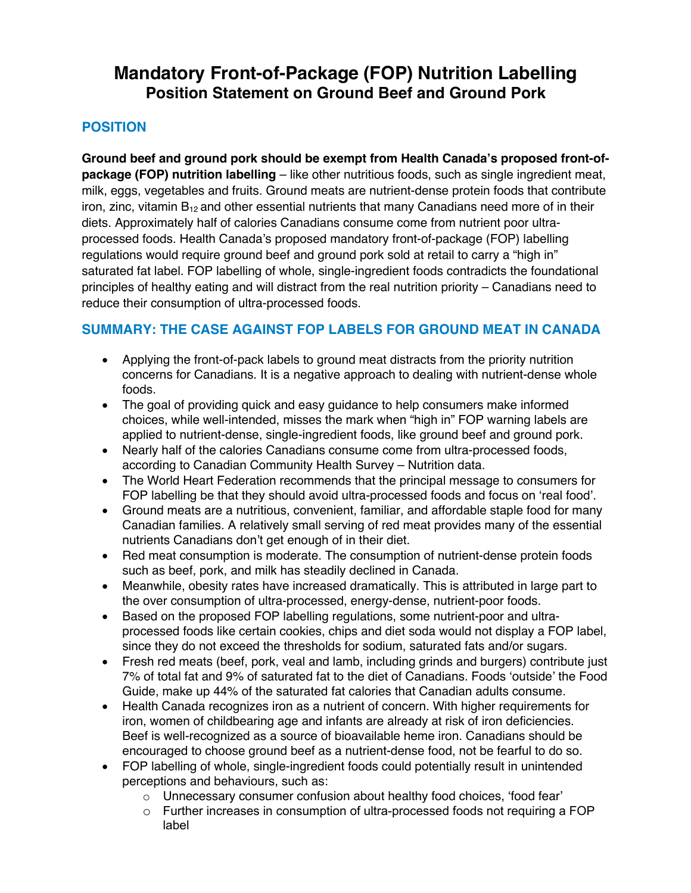# **Mandatory Front-of-Package (FOP) Nutrition Labelling Position Statement on Ground Beef and Ground Pork**

## **POSITION**

**Ground beef and ground pork should be exempt from Health Canada's proposed front-ofpackage (FOP) nutrition labelling** – like other nutritious foods, such as single ingredient meat, milk, eggs, vegetables and fruits. Ground meats are nutrient-dense protein foods that contribute iron, zinc, vitamin  $B_{12}$  and other essential nutrients that many Canadians need more of in their diets. Approximately half of calories Canadians consume come from nutrient poor ultraprocessed foods. Health Canada's proposed mandatory front-of-package (FOP) labelling regulations would require ground beef and ground pork sold at retail to carry a "high in" saturated fat label. FOP labelling of whole, single-ingredient foods contradicts the foundational principles of healthy eating and will distract from the real nutrition priority – Canadians need to reduce their consumption of ultra-processed foods.

# **SUMMARY: THE CASE AGAINST FOP LABELS FOR GROUND MEAT IN CANADA**

- Applying the front-of-pack labels to ground meat distracts from the priority nutrition concerns for Canadians. It is a negative approach to dealing with nutrient-dense whole foods.
- The goal of providing quick and easy guidance to help consumers make informed choices, while well-intended, misses the mark when "high in" FOP warning labels are applied to nutrient-dense, single-ingredient foods, like ground beef and ground pork.
- Nearly half of the calories Canadians consume come from ultra-processed foods, according to Canadian Community Health Survey – Nutrition data.
- The World Heart Federation recommends that the principal message to consumers for FOP labelling be that they should avoid ultra-processed foods and focus on 'real food'.
- Ground meats are a nutritious, convenient, familiar, and affordable staple food for many Canadian families. A relatively small serving of red meat provides many of the essential nutrients Canadians don't get enough of in their diet.
- Red meat consumption is moderate. The consumption of nutrient-dense protein foods such as beef, pork, and milk has steadily declined in Canada.
- Meanwhile, obesity rates have increased dramatically. This is attributed in large part to the over consumption of ultra-processed, energy-dense, nutrient-poor foods.
- Based on the proposed FOP labelling regulations, some nutrient-poor and ultraprocessed foods like certain cookies, chips and diet soda would not display a FOP label, since they do not exceed the thresholds for sodium, saturated fats and/or sugars.
- Fresh red meats (beef, pork, veal and lamb, including grinds and burgers) contribute just 7% of total fat and 9% of saturated fat to the diet of Canadians. Foods 'outside' the Food Guide, make up 44% of the saturated fat calories that Canadian adults consume.
- Health Canada recognizes iron as a nutrient of concern. With higher requirements for iron, women of childbearing age and infants are already at risk of iron deficiencies. Beef is well-recognized as a source of bioavailable heme iron. Canadians should be encouraged to choose ground beef as a nutrient-dense food, not be fearful to do so.
- FOP labelling of whole, single-ingredient foods could potentially result in unintended perceptions and behaviours, such as:
	- o Unnecessary consumer confusion about healthy food choices, 'food fear'
	- o Further increases in consumption of ultra-processed foods not requiring a FOP label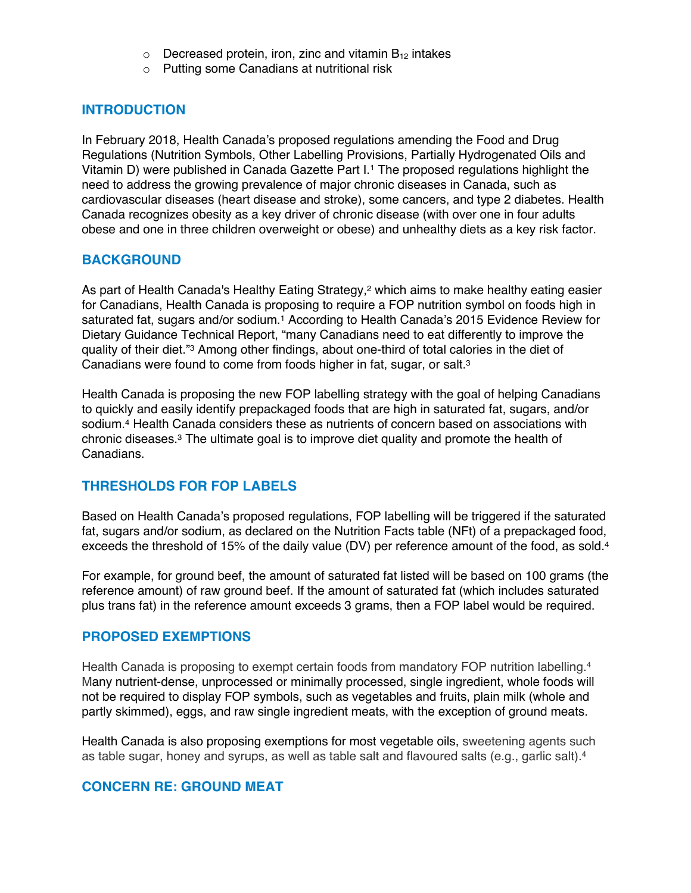- $\circ$  Decreased protein, iron, zinc and vitamin  $B_{12}$  intakes
- o Putting some Canadians at nutritional risk

## **INTRODUCTION**

In February 2018, Health Canada's proposed regulations amending the Food and Drug Regulations (Nutrition Symbols, Other Labelling Provisions, Partially Hydrogenated Oils and Vitamin D) were published in Canada Gazette Part I.1 The proposed regulations highlight the need to address the growing prevalence of major chronic diseases in Canada, such as cardiovascular diseases (heart disease and stroke), some cancers, and type 2 diabetes. Health Canada recognizes obesity as a key driver of chronic disease (with over one in four adults obese and one in three children overweight or obese) and unhealthy diets as a key risk factor.

## **BACKGROUND**

As part of Health Canada's Healthy Eating Strategy,<sup>2</sup> which aims to make healthy eating easier for Canadians, Health Canada is proposing to require a FOP nutrition symbol on foods high in saturated fat, sugars and/or sodium. <sup>1</sup> According to Health Canada's 2015 Evidence Review for Dietary Guidance Technical Report, "many Canadians need to eat differently to improve the quality of their diet."3 Among other findings, about one-third of total calories in the diet of Canadians were found to come from foods higher in fat, sugar, or salt.3

Health Canada is proposing the new FOP labelling strategy with the goal of helping Canadians to quickly and easily identify prepackaged foods that are high in saturated fat, sugars, and/or sodium. <sup>4</sup> Health Canada considers these as nutrients of concern based on associations with chronic diseases.<sup>3</sup> The ultimate goal is to improve diet quality and promote the health of Canadians.

## **THRESHOLDS FOR FOP LABELS**

Based on Health Canada's proposed regulations, FOP labelling will be triggered if the saturated fat, sugars and/or sodium, as declared on the Nutrition Facts table (NFt) of a prepackaged food, exceeds the threshold of 15% of the daily value (DV) per reference amount of the food, as sold.<sup>4</sup>

For example, for ground beef, the amount of saturated fat listed will be based on 100 grams (the reference amount) of raw ground beef. If the amount of saturated fat (which includes saturated plus trans fat) in the reference amount exceeds 3 grams, then a FOP label would be required.

## **PROPOSED EXEMPTIONS**

Health Canada is proposing to exempt certain foods from mandatory FOP nutrition labelling.<sup>4</sup> Many nutrient-dense, unprocessed or minimally processed, single ingredient, whole foods will not be required to display FOP symbols, such as vegetables and fruits, plain milk (whole and partly skimmed), eggs, and raw single ingredient meats, with the exception of ground meats.

Health Canada is also proposing exemptions for most vegetable oils, sweetening agents such as table sugar, honey and syrups, as well as table salt and flavoured salts (e.g., garlic salt). 4

## **CONCERN RE: GROUND MEAT**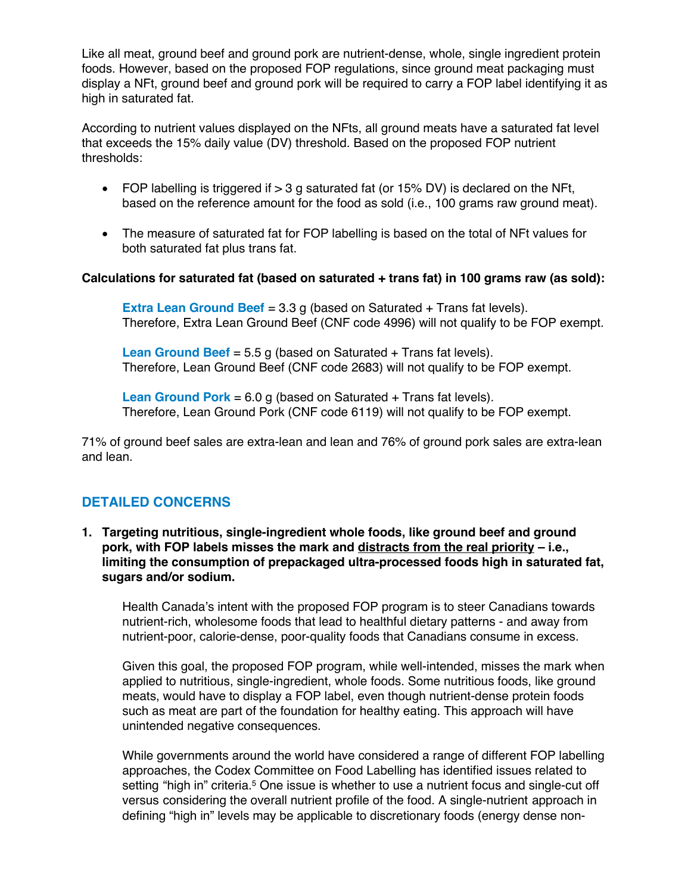Like all meat, ground beef and ground pork are nutrient-dense, whole, single ingredient protein foods. However, based on the proposed FOP regulations, since ground meat packaging must display a NFt, ground beef and ground pork will be required to carry a FOP label identifying it as high in saturated fat.

According to nutrient values displayed on the NFts, all ground meats have a saturated fat level that exceeds the 15% daily value (DV) threshold. Based on the proposed FOP nutrient thresholds:

- FOP labelling is triggered if  $> 3$  g saturated fat (or 15% DV) is declared on the NFt, based on the reference amount for the food as sold (i.e., 100 grams raw ground meat).
- The measure of saturated fat for FOP labelling is based on the total of NFt values for both saturated fat plus trans fat.

## **Calculations for saturated fat (based on saturated + trans fat) in 100 grams raw (as sold):**

**Extra Lean Ground Beef** = 3.3 g (based on Saturated + Trans fat levels). Therefore, Extra Lean Ground Beef (CNF code 4996) will not qualify to be FOP exempt.

**Lean Ground Beef** = 5.5 g (based on Saturated + Trans fat levels). Therefore, Lean Ground Beef (CNF code 2683) will not qualify to be FOP exempt.

**Lean Ground Pork** = 6.0 g (based on Saturated + Trans fat levels). Therefore, Lean Ground Pork (CNF code 6119) will not qualify to be FOP exempt.

71% of ground beef sales are extra-lean and lean and 76% of ground pork sales are extra-lean and lean.

## **DETAILED CONCERNS**

**1. Targeting nutritious, single-ingredient whole foods, like ground beef and ground pork, with FOP labels misses the mark and distracts from the real priority – i.e., limiting the consumption of prepackaged ultra-processed foods high in saturated fat, sugars and/or sodium.** 

Health Canada's intent with the proposed FOP program is to steer Canadians towards nutrient-rich, wholesome foods that lead to healthful dietary patterns - and away from nutrient-poor, calorie-dense, poor-quality foods that Canadians consume in excess.

Given this goal, the proposed FOP program, while well-intended, misses the mark when applied to nutritious, single-ingredient, whole foods. Some nutritious foods, like ground meats, would have to display a FOP label, even though nutrient-dense protein foods such as meat are part of the foundation for healthy eating. This approach will have unintended negative consequences.

While governments around the world have considered a range of different FOP labelling approaches, the Codex Committee on Food Labelling has identified issues related to setting "high in" criteria.<sup>5</sup> One issue is whether to use a nutrient focus and single-cut off versus considering the overall nutrient profile of the food. A single-nutrient approach in defining "high in" levels may be applicable to discretionary foods (energy dense non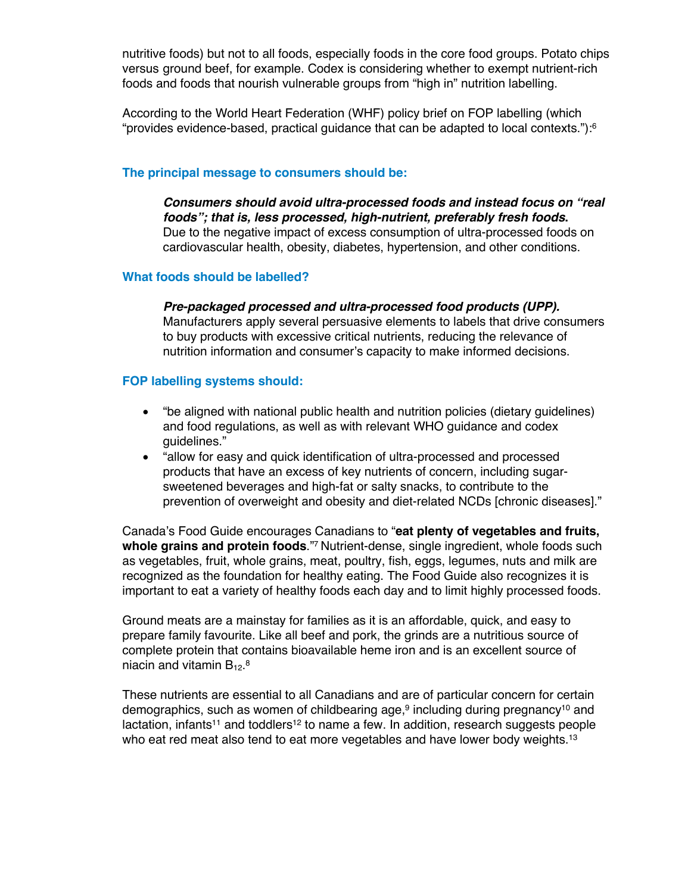nutritive foods) but not to all foods, especially foods in the core food groups. Potato chips versus ground beef, for example. Codex is considering whether to exempt nutrient-rich foods and foods that nourish vulnerable groups from "high in" nutrition labelling.

According to the World Heart Federation (WHF) policy brief on FOP labelling (which "provides evidence-based, practical guidance that can be adapted to local contexts."):6

#### **The principal message to consumers should be:**

*Consumers should avoid ultra-processed foods and instead focus on "real foods"; that is, less processed, high-nutrient, preferably fresh foods***.** Due to the negative impact of excess consumption of ultra-processed foods on cardiovascular health, obesity, diabetes, hypertension, and other conditions.

#### **What foods should be labelled?**

*Pre-packaged processed and ultra-processed food products (UPP).* Manufacturers apply several persuasive elements to labels that drive consumers to buy products with excessive critical nutrients, reducing the relevance of nutrition information and consumer's capacity to make informed decisions.

#### **FOP labelling systems should:**

- "be aligned with national public health and nutrition policies (dietary guidelines) and food regulations, as well as with relevant WHO guidance and codex guidelines."
- "allow for easy and quick identification of ultra-processed and processed products that have an excess of key nutrients of concern, including sugarsweetened beverages and high-fat or salty snacks, to contribute to the prevention of overweight and obesity and diet-related NCDs [chronic diseases]."

Canada's Food Guide encourages Canadians to "**eat plenty of vegetables and fruits, whole grains and protein foods**."7 Nutrient-dense, single ingredient, whole foods such as vegetables, fruit, whole grains, meat, poultry, fish, eggs, legumes, nuts and milk are recognized as the foundation for healthy eating. The Food Guide also recognizes it is important to eat a variety of healthy foods each day and to limit highly processed foods.

Ground meats are a mainstay for families as it is an affordable, quick, and easy to prepare family favourite. Like all beef and pork, the grinds are a nutritious source of complete protein that contains bioavailable heme iron and is an excellent source of niacin and vitamin  $\mathsf{B}_{12}$ . $^8$ 

These nutrients are essential to all Canadians and are of particular concern for certain demographics, such as women of childbearing age,<sup>9</sup> including during pregnancy<sup>10</sup> and lactation, infants<sup>11</sup> and toddlers<sup>12</sup> to name a few. In addition, research suggests people who eat red meat also tend to eat more vegetables and have lower body weights.<sup>13</sup>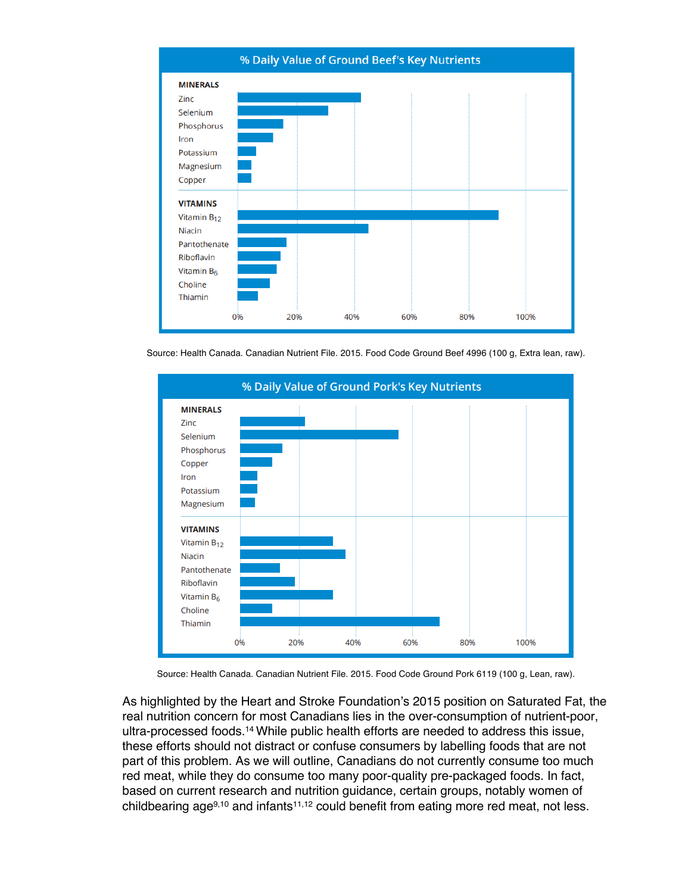

% Daily Value of Ground Beef's Key Nutrients

Source: Health Canada. Canadian Nutrient File. 2015. Food Code Ground Beef 4996 (100 g, Extra lean, raw).



Source: Health Canada. Canadian Nutrient File. 2015. Food Code Ground Pork 6119 (100 g, Lean, raw).

As highlighted by the Heart and Stroke Foundation's 2015 position on Saturated Fat, the real nutrition concern for most Canadians lies in the over-consumption of nutrient-poor, ultra-processed foods.14 While public health efforts are needed to address this issue, these efforts should not distract or confuse consumers by labelling foods that are not part of this problem. As we will outline, Canadians do not currently consume too much red meat, while they do consume too many poor-quality pre-packaged foods. In fact, based on current research and nutrition guidance, certain groups, notably women of childbearing age $9,10$  and infants<sup>11,12</sup> could benefit from eating more red meat, not less.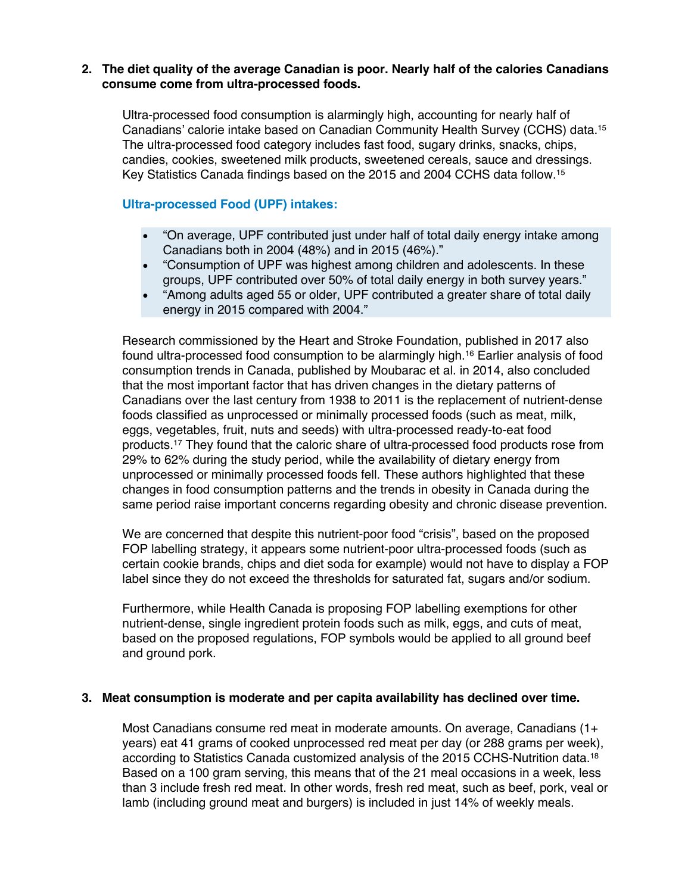#### **2. The diet quality of the average Canadian is poor. Nearly half of the calories Canadians consume come from ultra-processed foods.**

Ultra-processed food consumption is alarmingly high, accounting for nearly half of Canadians' calorie intake based on Canadian Community Health Survey (CCHS) data. 15 The ultra-processed food category includes fast food, sugary drinks, snacks, chips, candies, cookies, sweetened milk products, sweetened cereals, sauce and dressings. Key Statistics Canada findings based on the 2015 and 2004 CCHS data follow.15

#### **Ultra-processed Food (UPF) intakes:**

- "On average, UPF contributed just under half of total daily energy intake among Canadians both in 2004 (48%) and in 2015 (46%)."
- "Consumption of UPF was highest among children and adolescents. In these groups, UPF contributed over 50% of total daily energy in both survey years."
- "Among adults aged 55 or older, UPF contributed a greater share of total daily energy in 2015 compared with 2004."

Research commissioned by the Heart and Stroke Foundation, published in 2017 also found ultra-processed food consumption to be alarmingly high. <sup>16</sup> Earlier analysis of food consumption trends in Canada, published by Moubarac et al. in 2014, also concluded that the most important factor that has driven changes in the dietary patterns of Canadians over the last century from 1938 to 2011 is the replacement of nutrient-dense foods classified as unprocessed or minimally processed foods (such as meat, milk, eggs, vegetables, fruit, nuts and seeds) with ultra-processed ready-to-eat food products.17 They found that the caloric share of ultra-processed food products rose from 29% to 62% during the study period, while the availability of dietary energy from unprocessed or minimally processed foods fell. These authors highlighted that these changes in food consumption patterns and the trends in obesity in Canada during the same period raise important concerns regarding obesity and chronic disease prevention.

We are concerned that despite this nutrient-poor food "crisis", based on the proposed FOP labelling strategy, it appears some nutrient-poor ultra-processed foods (such as certain cookie brands, chips and diet soda for example) would not have to display a FOP label since they do not exceed the thresholds for saturated fat, sugars and/or sodium.

Furthermore, while Health Canada is proposing FOP labelling exemptions for other nutrient-dense, single ingredient protein foods such as milk, eggs, and cuts of meat, based on the proposed regulations, FOP symbols would be applied to all ground beef and ground pork.

#### **3. Meat consumption is moderate and per capita availability has declined over time.**

Most Canadians consume red meat in moderate amounts. On average, Canadians (1+ years) eat 41 grams of cooked unprocessed red meat per day (or 288 grams per week), according to Statistics Canada customized analysis of the 2015 CCHS-Nutrition data.18 Based on a 100 gram serving, this means that of the 21 meal occasions in a week, less than 3 include fresh red meat. In other words, fresh red meat, such as beef, pork, veal or lamb (including ground meat and burgers) is included in just 14% of weekly meals.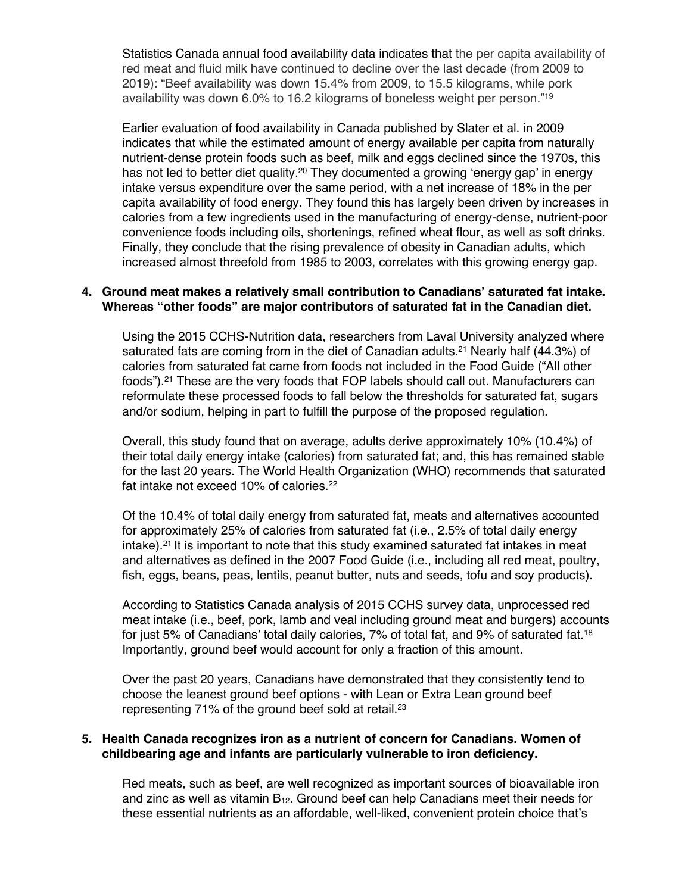Statistics Canada annual food availability data indicates that the per capita availability of red meat and fluid milk have continued to decline over the last decade (from 2009 to 2019): "Beef availability was down 15.4% from 2009, to 15.5 kilograms, while pork availability was down 6.0% to 16.2 kilograms of boneless weight per person."19

Earlier evaluation of food availability in Canada published by Slater et al. in 2009 indicates that while the estimated amount of energy available per capita from naturally nutrient-dense protein foods such as beef, milk and eggs declined since the 1970s, this has not led to better diet quality.<sup>20</sup> They documented a growing 'energy gap' in energy intake versus expenditure over the same period, with a net increase of 18% in the per capita availability of food energy. They found this has largely been driven by increases in calories from a few ingredients used in the manufacturing of energy-dense, nutrient-poor convenience foods including oils, shortenings, refined wheat flour, as well as soft drinks. Finally, they conclude that the rising prevalence of obesity in Canadian adults, which increased almost threefold from 1985 to 2003, correlates with this growing energy gap.

#### **4. Ground meat makes a relatively small contribution to Canadians' saturated fat intake. Whereas "other foods" are major contributors of saturated fat in the Canadian diet.**

Using the 2015 CCHS-Nutrition data, researchers from Laval University analyzed where saturated fats are coming from in the diet of Canadian adults.<sup>21</sup> Nearly half (44.3%) of calories from saturated fat came from foods not included in the Food Guide ("All other foods").21 These are the very foods that FOP labels should call out. Manufacturers can reformulate these processed foods to fall below the thresholds for saturated fat, sugars and/or sodium, helping in part to fulfill the purpose of the proposed regulation.

Overall, this study found that on average, adults derive approximately 10% (10.4%) of their total daily energy intake (calories) from saturated fat; and, this has remained stable for the last 20 years. The World Health Organization (WHO) recommends that saturated fat intake not exceed 10% of calories.<sup>22</sup>

Of the 10.4% of total daily energy from saturated fat, meats and alternatives accounted for approximately 25% of calories from saturated fat (i.e., 2.5% of total daily energy intake).<sup>21</sup> It is important to note that this study examined saturated fat intakes in meat and alternatives as defined in the 2007 Food Guide (i.e., including all red meat, poultry, fish, eggs, beans, peas, lentils, peanut butter, nuts and seeds, tofu and soy products).

According to Statistics Canada analysis of 2015 CCHS survey data, unprocessed red meat intake (i.e., beef, pork, lamb and veal including ground meat and burgers) accounts for just 5% of Canadians' total daily calories, 7% of total fat, and 9% of saturated fat.<sup>18</sup> Importantly, ground beef would account for only a fraction of this amount.

Over the past 20 years, Canadians have demonstrated that they consistently tend to choose the leanest ground beef options - with Lean or Extra Lean ground beef representing 71% of the ground beef sold at retail.23

#### **5. Health Canada recognizes iron as a nutrient of concern for Canadians. Women of childbearing age and infants are particularly vulnerable to iron deficiency.**

Red meats, such as beef, are well recognized as important sources of bioavailable iron and zinc as well as vitamin  $B_{12}$ . Ground beef can help Canadians meet their needs for these essential nutrients as an affordable, well-liked, convenient protein choice that's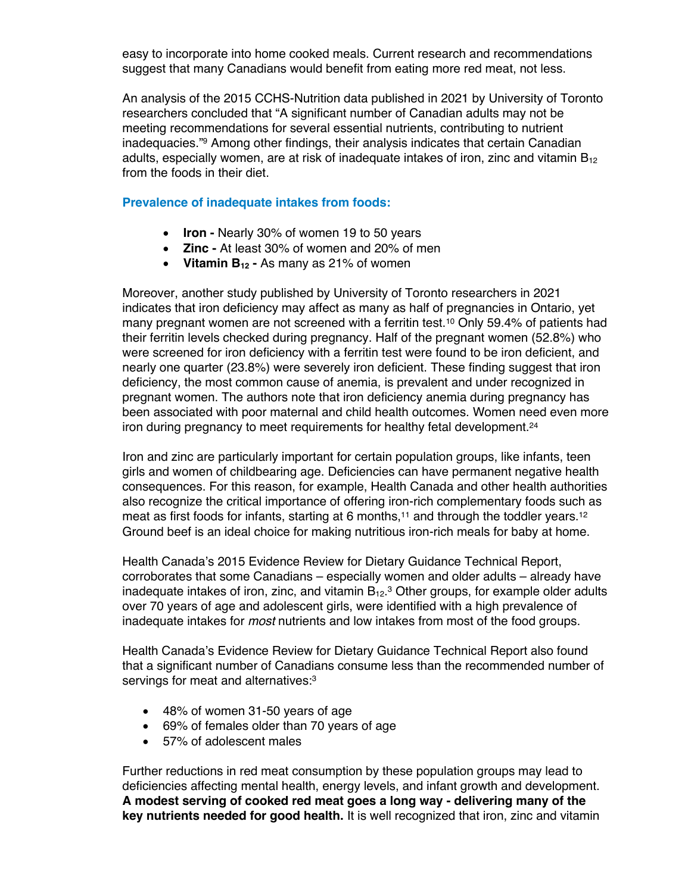easy to incorporate into home cooked meals. Current research and recommendations suggest that many Canadians would benefit from eating more red meat, not less.

An analysis of the 2015 CCHS-Nutrition data published in 2021 by University of Toronto researchers concluded that "A significant number of Canadian adults may not be meeting recommendations for several essential nutrients, contributing to nutrient inadequacies."9 Among other findings, their analysis indicates that certain Canadian adults, especially women, are at risk of inadequate intakes of iron, zinc and vitamin B<sub>12</sub> from the foods in their diet.

#### **Prevalence of inadequate intakes from foods:**

- **Iron -** Nearly 30% of women 19 to 50 years
- **Zinc -** At least 30% of women and 20% of men
- **Vitamin B12 -** As many as 21% of women

Moreover, another study published by University of Toronto researchers in 2021 indicates that iron deficiency may affect as many as half of pregnancies in Ontario, yet many pregnant women are not screened with a ferritin test.<sup>10</sup> Only 59.4% of patients had their ferritin levels checked during pregnancy. Half of the pregnant women (52.8%) who were screened for iron deficiency with a ferritin test were found to be iron deficient, and nearly one quarter (23.8%) were severely iron deficient. These finding suggest that iron deficiency, the most common cause of anemia, is prevalent and under recognized in pregnant women. The authors note that iron deficiency anemia during pregnancy has been associated with poor maternal and child health outcomes. Women need even more iron during pregnancy to meet requirements for healthy fetal development.<sup>24</sup>

Iron and zinc are particularly important for certain population groups, like infants, teen girls and women of childbearing age. Deficiencies can have permanent negative health consequences. For this reason, for example, Health Canada and other health authorities also recognize the critical importance of offering iron-rich complementary foods such as meat as first foods for infants, starting at 6 months, <sup>11</sup> and through the toddler years.12 Ground beef is an ideal choice for making nutritious iron-rich meals for baby at home.

Health Canada's 2015 Evidence Review for Dietary Guidance Technical Report, corroborates that some Canadians – especially women and older adults – already have inadequate intakes of iron, zinc, and vitamin  $B_{12}.^3$  Other groups, for example older adults over 70 years of age and adolescent girls, were identified with a high prevalence of inadequate intakes for *most* nutrients and low intakes from most of the food groups.

Health Canada's Evidence Review for Dietary Guidance Technical Report also found that a significant number of Canadians consume less than the recommended number of servings for meat and alternatives:<sup>3</sup>

- 48% of women 31-50 years of age
- 69% of females older than 70 years of age
- 57% of adolescent males

Further reductions in red meat consumption by these population groups may lead to deficiencies affecting mental health, energy levels, and infant growth and development. **A modest serving of cooked red meat goes a long way - delivering many of the key nutrients needed for good health.** It is well recognized that iron, zinc and vitamin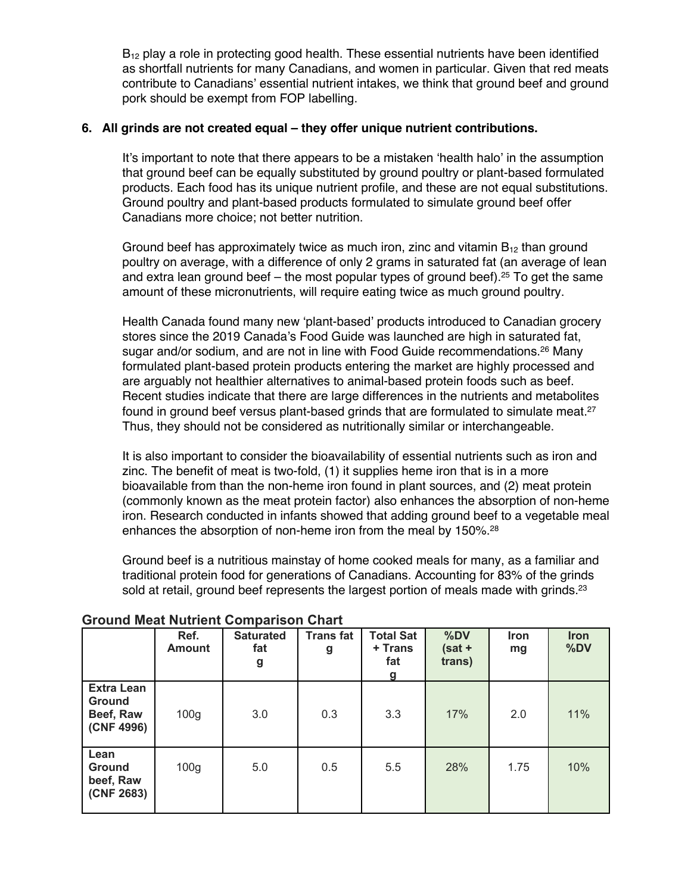$B_{12}$  play a role in protecting good health. These essential nutrients have been identified as shortfall nutrients for many Canadians, and women in particular. Given that red meats contribute to Canadians' essential nutrient intakes, we think that ground beef and ground pork should be exempt from FOP labelling.

#### **6. All grinds are not created equal – they offer unique nutrient contributions.**

It's important to note that there appears to be a mistaken 'health halo' in the assumption that ground beef can be equally substituted by ground poultry or plant-based formulated products. Each food has its unique nutrient profile, and these are not equal substitutions. Ground poultry and plant-based products formulated to simulate ground beef offer Canadians more choice; not better nutrition.

Ground beef has approximately twice as much iron, zinc and vitamin  $B_{12}$  than ground poultry on average, with a difference of only 2 grams in saturated fat (an average of lean and extra lean ground beef – the most popular types of ground beef).<sup>25</sup> To get the same amount of these micronutrients, will require eating twice as much ground poultry.

Health Canada found many new 'plant-based' products introduced to Canadian grocery stores since the 2019 Canada's Food Guide was launched are high in saturated fat, sugar and/or sodium, and are not in line with Food Guide recommendations.<sup>26</sup> Many formulated plant-based protein products entering the market are highly processed and are arguably not healthier alternatives to animal-based protein foods such as beef. Recent studies indicate that there are large differences in the nutrients and metabolites found in ground beef versus plant-based grinds that are formulated to simulate meat.<sup>27</sup> Thus, they should not be considered as nutritionally similar or interchangeable.

It is also important to consider the bioavailability of essential nutrients such as iron and zinc. The benefit of meat is two-fold, (1) it supplies heme iron that is in a more bioavailable from than the non-heme iron found in plant sources, and (2) meat protein (commonly known as the meat protein factor) also enhances the absorption of non-heme iron. Research conducted in infants showed that adding ground beef to a vegetable meal enhances the absorption of non-heme iron from the meal by 150%.<sup>28</sup>

Ground beef is a nutritious mainstay of home cooked meals for many, as a familiar and traditional protein food for generations of Canadians. Accounting for 83% of the grinds sold at retail, ground beef represents the largest portion of meals made with grinds. $23$ 

|                                                               | Ref.<br><b>Amount</b> | <b>Saturated</b><br>fat<br>g | <b>Transfat</b><br>g | <b>Total Sat</b><br>+ Trans<br>fat<br>g | %DV<br>$(sat +$<br>trans) | Iron<br>mg | Iron<br>%DV |
|---------------------------------------------------------------|-----------------------|------------------------------|----------------------|-----------------------------------------|---------------------------|------------|-------------|
| <b>Extra Lean</b><br><b>Ground</b><br>Beef, Raw<br>(CNF 4996) | 100 <sub>g</sub>      | 3.0                          | 0.3                  | 3.3                                     | 17%                       | 2.0        | 11%         |
| Lean<br><b>Ground</b><br>beef, Raw<br>(CNF 2683)              | 100 <sub>g</sub>      | 5.0                          | 0.5                  | 5.5                                     | 28%                       | 1.75       | 10%         |

#### **Ground Meat Nutrient Comparison Chart**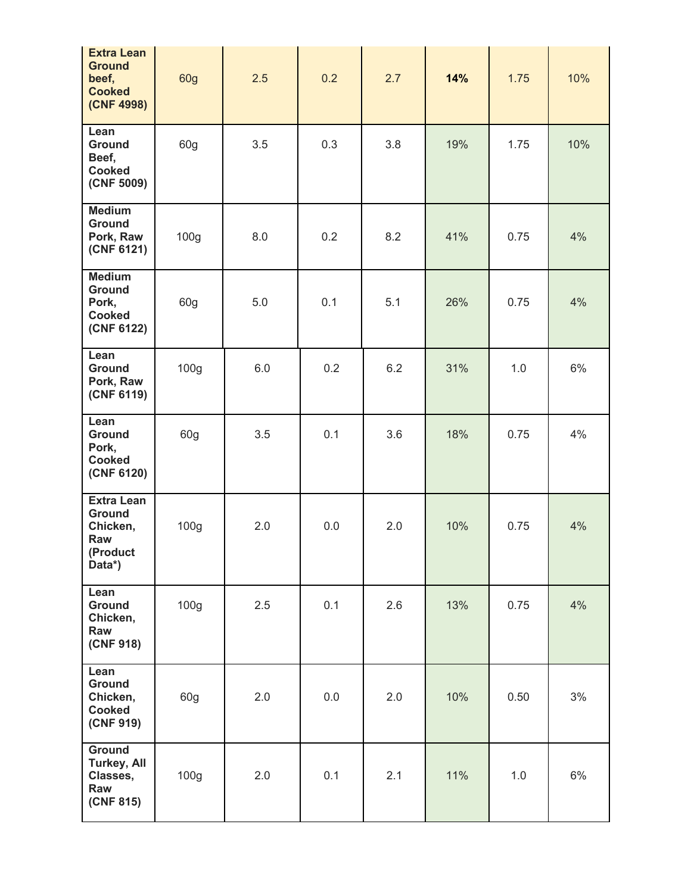| <b>Extra Lean</b><br><b>Ground</b><br>beef,<br><b>Cooked</b><br>(CNF 4998)  | 60g              | 2.5 | 0.2 | 2.7 | 14% | 1.75 | 10% |
|-----------------------------------------------------------------------------|------------------|-----|-----|-----|-----|------|-----|
| Lean<br><b>Ground</b><br>Beef,<br><b>Cooked</b><br>(CNF 5009)               | 60g              | 3.5 | 0.3 | 3.8 | 19% | 1.75 | 10% |
| <b>Medium</b><br><b>Ground</b><br>Pork, Raw<br>(CNF 6121)                   | 100g             | 8.0 | 0.2 | 8.2 | 41% | 0.75 | 4%  |
| <b>Medium</b><br><b>Ground</b><br>Pork,<br><b>Cooked</b><br>(CNF 6122)      | 60g              | 5.0 | 0.1 | 5.1 | 26% | 0.75 | 4%  |
| Lean<br><b>Ground</b><br>Pork, Raw<br>(CNF 6119)                            | 100 <sub>g</sub> | 6.0 | 0.2 | 6.2 | 31% | 1.0  | 6%  |
| Lean<br><b>Ground</b><br>Pork,<br><b>Cooked</b><br>(CNF 6120)               | 60g              | 3.5 | 0.1 | 3.6 | 18% | 0.75 | 4%  |
| <b>Extra Lean</b><br><b>Ground</b><br>Chicken,<br>Raw<br>(Product<br>Data*) | 100 <sub>g</sub> | 2.0 | 0.0 | 2.0 | 10% | 0.75 | 4%  |
| Lean<br>Ground<br>Chicken,<br>Raw<br>(CNF 918)                              | 100 <sub>g</sub> | 2.5 | 0.1 | 2.6 | 13% | 0.75 | 4%  |
| Lean<br>Ground<br>Chicken,<br>Cooked<br>(CNF 919)                           | 60g              | 2.0 | 0.0 | 2.0 | 10% | 0.50 | 3%  |
| Ground<br><b>Turkey, All</b><br>Classes,<br>Raw<br>(CNF 815)                | 100g             | 2.0 | 0.1 | 2.1 | 11% | 1.0  | 6%  |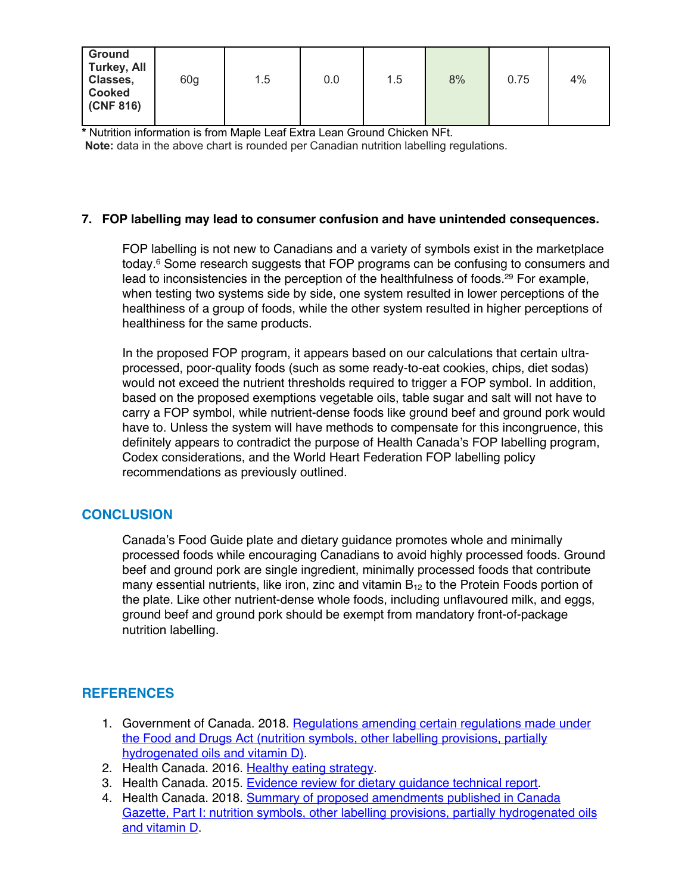| <b>Ground</b><br><b>Turkey, All</b><br>Classes,<br><b>Cooked</b><br>(CNF 816) | 60g | 1.5 | 0.0 | 1.5 | 8% | 0.75 | 4% |
|-------------------------------------------------------------------------------|-----|-----|-----|-----|----|------|----|
|-------------------------------------------------------------------------------|-----|-----|-----|-----|----|------|----|

**\*** Nutrition information is from Maple Leaf Extra Lean Ground Chicken NFt. **Note:** data in the above chart is rounded per Canadian nutrition labelling regulations.

## **7. FOP labelling may lead to consumer confusion and have unintended consequences.**

FOP labelling is not new to Canadians and a variety of symbols exist in the marketplace today.6 Some research suggests that FOP programs can be confusing to consumers and lead to inconsistencies in the perception of the healthfulness of foods.29 For example, when testing two systems side by side, one system resulted in lower perceptions of the healthiness of a group of foods, while the other system resulted in higher perceptions of healthiness for the same products.

In the proposed FOP program, it appears based on our calculations that certain ultraprocessed, poor-quality foods (such as some ready-to-eat cookies, chips, diet sodas) would not exceed the nutrient thresholds required to trigger a FOP symbol. In addition, based on the proposed exemptions vegetable oils, table sugar and salt will not have to carry a FOP symbol, while nutrient-dense foods like ground beef and ground pork would have to. Unless the system will have methods to compensate for this incongruence, this definitely appears to contradict the purpose of Health Canada's FOP labelling program, Codex considerations, and the World Heart Federation FOP labelling policy recommendations as previously outlined.

## **CONCLUSION**

Canada's Food Guide plate and dietary guidance promotes whole and minimally processed foods while encouraging Canadians to avoid highly processed foods. Ground beef and ground pork are single ingredient, minimally processed foods that contribute many essential nutrients, like iron, zinc and vitamin  $B_{12}$  to the Protein Foods portion of the plate. Like other nutrient-dense whole foods, including unflavoured milk, and eggs, ground beef and ground pork should be exempt from mandatory front-of-package nutrition labelling.

# **REFERENCES**

- 1. Government of Canada. 2018. Regulations amending certain regulations made under the Food and Drugs Act (nutrition symbols, other labelling provisions, partially hydrogenated oils and vitamin D).
- 2. Health Canada. 2016. Healthy eating strategy.
- 3. Health Canada. 2015. Evidence review for dietary guidance technical report.
- 4. Health Canada. 2018. Summary of proposed amendments published in Canada Gazette, Part I: nutrition symbols, other labelling provisions, partially hydrogenated oils and vitamin D.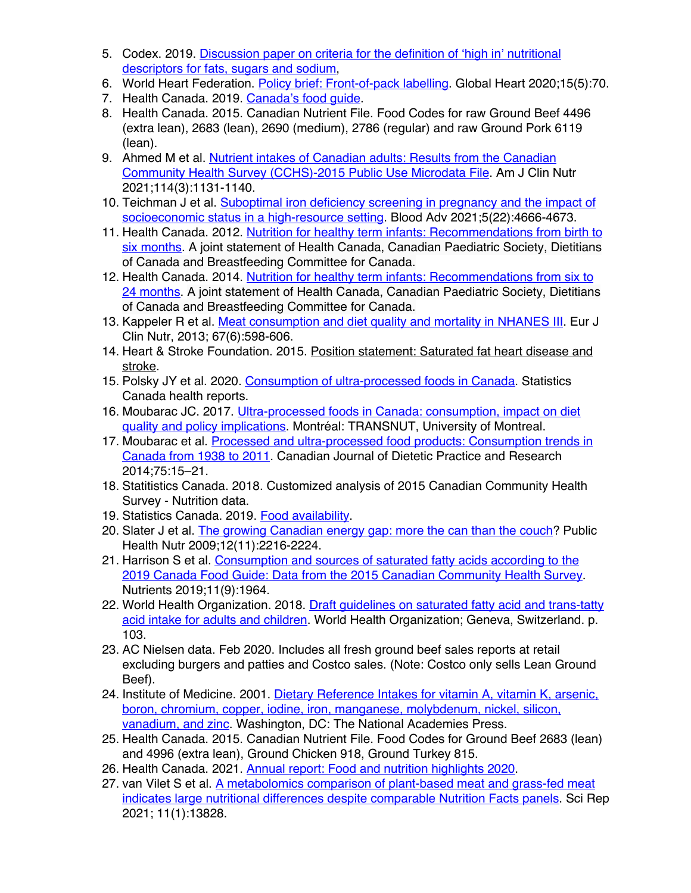- 5. Codex. 2019. Discussion paper on criteria for the definition of 'high in' nutritional descriptors for fats, sugars and sodium,
- 6. World Heart Federation. Policy brief: Front-of-pack labelling. Global Heart 2020;15(5):70.
- 7. Health Canada. 2019. Canada's food quide.
- 8. Health Canada. 2015. Canadian Nutrient File. Food Codes for raw Ground Beef 4496 (extra lean), 2683 (lean), 2690 (medium), 2786 (regular) and raw Ground Pork 6119 (lean).
- 9. Ahmed M et al. Nutrient intakes of Canadian adults: Results from the Canadian Community Health Survey (CCHS)-2015 Public Use Microdata File. Am J Clin Nutr 2021;114(3):1131-1140.
- 10. Teichman J et al. Suboptimal iron deficiency screening in pregnancy and the impact of socioeconomic status in a high-resource setting. Blood Adv 2021;5(22):4666-4673.
- 11. Health Canada. 2012. Nutrition for healthy term infants: Recommendations from birth to six months. A joint statement of Health Canada, Canadian Paediatric Society, Dietitians of Canada and Breastfeeding Committee for Canada.
- 12. Health Canada. 2014. Nutrition for healthy term infants: Recommendations from six to 24 months. A joint statement of Health Canada, Canadian Paediatric Society, Dietitians of Canada and Breastfeeding Committee for Canada.
- 13. Kappeler R et al. Meat consumption and diet quality and mortality in NHANES III. Eur J Clin Nutr, 2013; 67(6):598-606.
- 14. Heart & Stroke Foundation. 2015. Position statement: Saturated fat heart disease and stroke.
- 15. Polsky JY et al. 2020. Consumption of ultra-processed foods in Canada. Statistics Canada health reports.
- 16. Moubarac JC. 2017. Ultra-processed foods in Canada: consumption, impact on diet quality and policy implications. Montréal: TRANSNUT, University of Montreal.
- 17. Moubarac et al. Processed and ultra-processed food products: Consumption trends in Canada from 1938 to 2011. Canadian Journal of Dietetic Practice and Research 2014;75:15–21.
- 18. Statitistics Canada. 2018. Customized analysis of 2015 Canadian Community Health Survey - Nutrition data.
- 19. Statistics Canada. 2019. Food availability.
- 20. Slater J et al. The growing Canadian energy gap: more the can than the couch? Public Health Nutr 2009;12(11):2216-2224.
- 21. Harrison S et al. Consumption and sources of saturated fatty acids according to the 2019 Canada Food Guide: Data from the 2015 Canadian Community Health Survey. Nutrients 2019;11(9):1964.
- 22. World Health Organization. 2018. Draft guidelines on saturated fatty acid and trans-tatty acid intake for adults and children. World Health Organization; Geneva, Switzerland. p. 103.
- 23. AC Nielsen data. Feb 2020. Includes all fresh ground beef sales reports at retail excluding burgers and patties and Costco sales. (Note: Costco only sells Lean Ground Beef).
- 24. Institute of Medicine. 2001. Dietary Reference Intakes for vitamin A, vitamin K, arsenic, boron, chromium, copper, iodine, iron, manganese, molybdenum, nickel, silicon, vanadium, and zinc. Washington, DC: The National Academies Press.
- 25. Health Canada. 2015. Canadian Nutrient File. Food Codes for Ground Beef 2683 (lean) and 4996 (extra lean), Ground Chicken 918, Ground Turkey 815.
- 26. Health Canada. 2021. Annual report: Food and nutrition highlights 2020.
- 27. van Vilet S et al. A metabolomics comparison of plant-based meat and grass-fed meat indicates large nutritional differences despite comparable Nutrition Facts panels</u>. Sci Rep 2021; 11(1):13828.